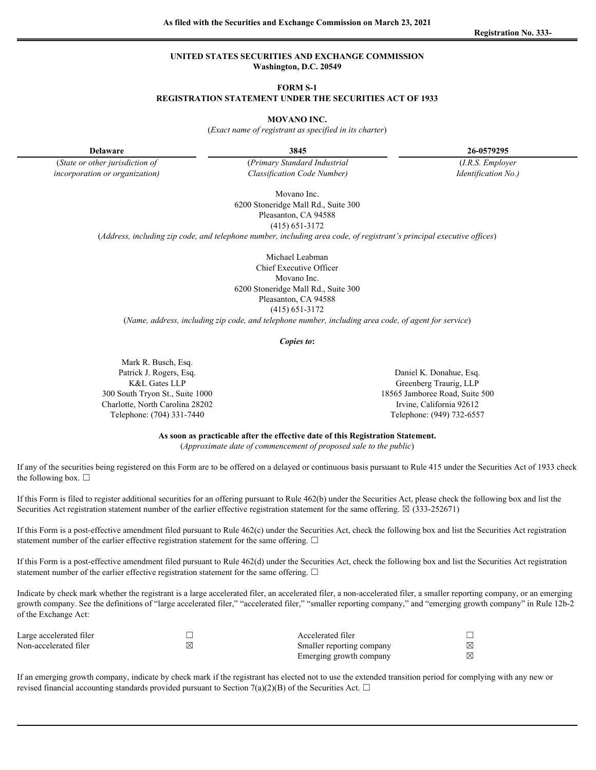### **UNITED STATES SECURITIES AND EXCHANGE COMMISSION Washington, D.C. 20549**

#### **FORM S-1**

### **REGISTRATION STATEMENT UNDER THE SECURITIES ACT OF 1933**

#### **MOVANO INC.**

(*Exact name of registrant as specified in its charter*)

**Delaware 3845 26-0579295**

(*State or other jurisdiction of* (*Primary Standard Industrial* (*I.R.S. Employer incorporation or organization) Classification Code Number) Identification No.)*

Movano Inc. 6200 Stoneridge Mall Rd., Suite 300 Pleasanton, CA 94588

(415) 651-3172

(*Address, including zip code, and telephone number, including area code, of registrant's principal executive offices*)

Michael Leabman Chief Executive Officer Movano Inc. 6200 Stoneridge Mall Rd., Suite 300 Pleasanton, CA 94588 (415) 651-3172

(*Name, address, including zip code, and telephone number, including area code, of agent for service*)

*Copies to***:**

Mark R. Busch, Esq. Patrick J. Rogers, Esq. **Daniel K. Donahue, Esq.** Daniel K. Donahue, Esq. 300 South Tryon St., Suite 1000 18565 Jamboree Road, Suite 500 Charlotte, North Carolina 28202 Irvine, California 92612 Telephone: (704) 331-7440 Telephone: (949) 732-6557

K&L Gates LLP Greenberg Traurig, LLP

**As soon as practicable after the effective date of this Registration Statement.**

(*Approximate date of commencement of proposed sale to the public*)

If any of the securities being registered on this Form are to be offered on a delayed or continuous basis pursuant to Rule 415 under the Securities Act of 1933 check the following box.  $\square$ 

If this Form is filed to register additional securities for an offering pursuant to Rule 462(b) under the Securities Act, please check the following box and list the Securities Act registration statement number of the earlier effective registration statement for the same offering.  $\boxtimes$  (333-252671)

If this Form is a post-effective amendment filed pursuant to Rule 462(c) under the Securities Act, check the following box and list the Securities Act registration statement number of the earlier effective registration statement for the same offering.  $\Box$ 

If this Form is a post-effective amendment filed pursuant to Rule 462(d) under the Securities Act, check the following box and list the Securities Act registration statement number of the earlier effective registration statement for the same offering.  $\Box$ 

Indicate by check mark whether the registrant is a large accelerated filer, an accelerated filer, a non-accelerated filer, a smaller reporting company, or an emerging growth company. See the definitions of "large accelerated filer," "accelerated filer," "smaller reporting company," and "emerging growth company" in Rule 12b-2 of the Exchange Act:

| Large accelerated filer | $\mathbf{r}$<br>Accelerated filer |  |
|-------------------------|-----------------------------------|--|
| Non-accelerated filer   | Smaller reporting company         |  |
|                         | Emerging growth company           |  |

If an emerging growth company, indicate by check mark if the registrant has elected not to use the extended transition period for complying with any new or revised financial accounting standards provided pursuant to Section 7(a)(2)(B) of the Securities Act.  $\Box$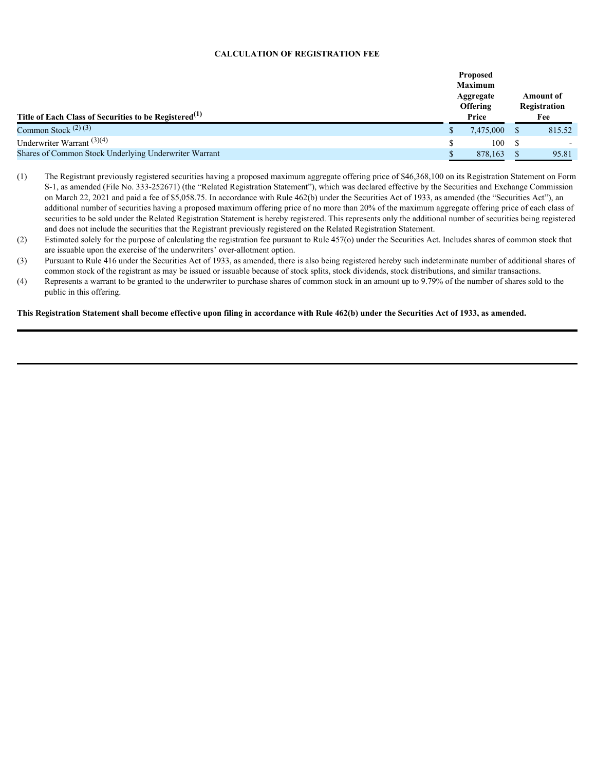## **CALCULATION OF REGISTRATION FEE**

|                                                                   | <b>Proposed</b><br><b>Maximum</b> |              |                           |        |
|-------------------------------------------------------------------|-----------------------------------|--------------|---------------------------|--------|
|                                                                   | Aggregate<br>Offering             |              | Amount of<br>Registration |        |
| Title of Each Class of Securities to be Registered <sup>(1)</sup> |                                   | Price        |                           | Fee    |
| Common Stock $(2)(3)$                                             |                                   | 7,475,000 \$ |                           | 815.52 |
| Underwriter Warrant <sup>(3)(4)</sup>                             |                                   | 100          |                           |        |
| Shares of Common Stock Underlying Underwriter Warrant             |                                   | 878,163      |                           | 95.81  |

- (1) The Registrant previously registered securities having a proposed maximum aggregate offering price of \$46,368,100 on its Registration Statement on Form S-1, as amended (File No. 333-252671) (the "Related Registration Statement"), which was declared effective by the Securities and Exchange Commission on March 22, 2021 and paid a fee of \$5,058.75. In accordance with Rule 462(b) under the Securities Act of 1933, as amended (the "Securities Act"), an additional number of securities having a proposed maximum offering price of no more than 20% of the maximum aggregate offering price of each class of securities to be sold under the Related Registration Statement is hereby registered. This represents only the additional number of securities being registered and does not include the securities that the Registrant previously registered on the Related Registration Statement.
- (2) Estimated solely for the purpose of calculating the registration fee pursuant to Rule 457(o) under the Securities Act. Includes shares of common stock that are issuable upon the exercise of the underwriters' over-allotment option.
- (3) Pursuant to Rule 416 under the Securities Act of 1933, as amended, there is also being registered hereby such indeterminate number of additional shares of common stock of the registrant as may be issued or issuable because of stock splits, stock dividends, stock distributions, and similar transactions.
- (4) Represents a warrant to be granted to the underwriter to purchase shares of common stock in an amount up to 9.79% of the number of shares sold to the public in this offering.

**This Registration Statement shall become effective upon filing in accordance with Rule 462(b) under the Securities Act of 1933, as amended.**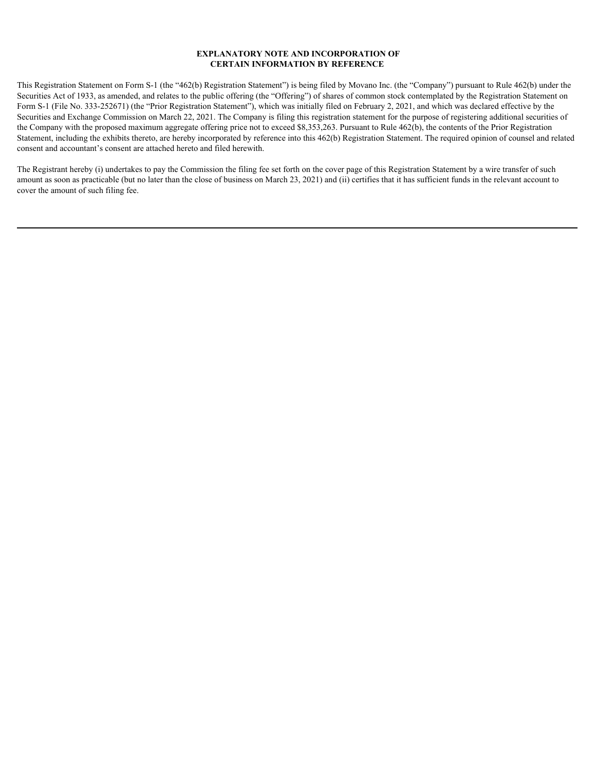## **EXPLANATORY NOTE AND INCORPORATION OF CERTAIN INFORMATION BY REFERENCE**

This Registration Statement on Form S-1 (the "462(b) Registration Statement") is being filed by Movano Inc. (the "Company") pursuant to Rule 462(b) under the Securities Act of 1933, as amended, and relates to the public offering (the "Offering") of shares of common stock contemplated by the Registration Statement on Form S-1 (File No. 333-252671) (the "Prior Registration Statement"), which was initially filed on February 2, 2021, and which was declared effective by the Securities and Exchange Commission on March 22, 2021. The Company is filing this registration statement for the purpose of registering additional securities of the Company with the proposed maximum aggregate offering price not to exceed \$8,353,263. Pursuant to Rule 462(b), the contents of the Prior Registration Statement, including the exhibits thereto, are hereby incorporated by reference into this 462(b) Registration Statement. The required opinion of counsel and related consent and accountant's consent are attached hereto and filed herewith.

The Registrant hereby (i) undertakes to pay the Commission the filing fee set forth on the cover page of this Registration Statement by a wire transfer of such amount as soon as practicable (but no later than the close of business on March 23, 2021) and (ii) certifies that it has sufficient funds in the relevant account to cover the amount of such filing fee.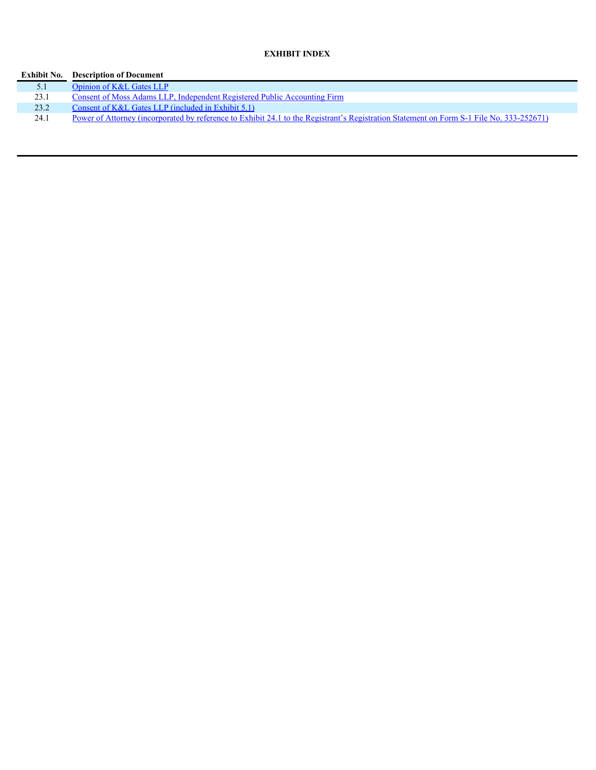# **EXHIBIT INDEX**

| Exhibit No. | <b>Description of Document</b>                                                                                                           |
|-------------|------------------------------------------------------------------------------------------------------------------------------------------|
| 5.1         | Opinion of K&L Gates LLP                                                                                                                 |
| 23.1        | Consent of Moss Adams LLP, Independent Registered Public Accounting Firm                                                                 |
| 23.2        | Consent of $K&L$ Gates LLP (included in Exhibit 5.1)                                                                                     |
| 24.1        | Power of Attorney (incorporated by reference to Exhibit 24.1 to the Registrant's Registration Statement on Form S-1 File No. 333-252671) |
|             |                                                                                                                                          |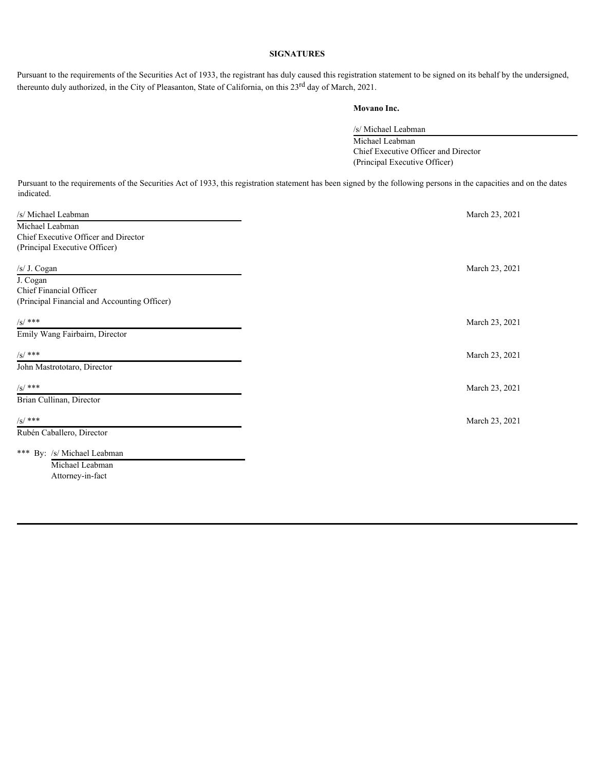# **SIGNATURES**

Pursuant to the requirements of the Securities Act of 1933, the registrant has duly caused this registration statement to be signed on its behalf by the undersigned, thereunto duly authorized, in the City of Pleasanton, State of California, on this 23<sup>rd</sup> day of March, 2021.

# **Movano Inc.**

/s/ Michael Leabman Michael Leabman Chief Executive Officer and Director

(Principal Executive Officer)

Pursuant to the requirements of the Securities Act of 1933, this registration statement has been signed by the following persons in the capacities and on the dates indicated.

| /s/ Michael Leabman                          | March 23, 2021 |
|----------------------------------------------|----------------|
| Michael Leabman                              |                |
| Chief Executive Officer and Director         |                |
| (Principal Executive Officer)                |                |
|                                              |                |
| /s/ J. Cogan                                 | March 23, 2021 |
| J. Cogan                                     |                |
| Chief Financial Officer                      |                |
| (Principal Financial and Accounting Officer) |                |
| $/S/$ ***                                    | March 23, 2021 |
| Emily Wang Fairbairn, Director               |                |
|                                              |                |
| $/S/$ ***                                    | March 23, 2021 |
| John Mastrototaro, Director                  |                |
| $/S/$ ***                                    | March 23, 2021 |
| Brian Cullinan, Director                     |                |
| $/S/$ ***                                    | March 23, 2021 |
| Rubén Caballero, Director                    |                |
| *** By: /s/ Michael Leabman                  |                |
| Michael Leabman                              |                |
| Attorney-in-fact                             |                |
|                                              |                |
|                                              |                |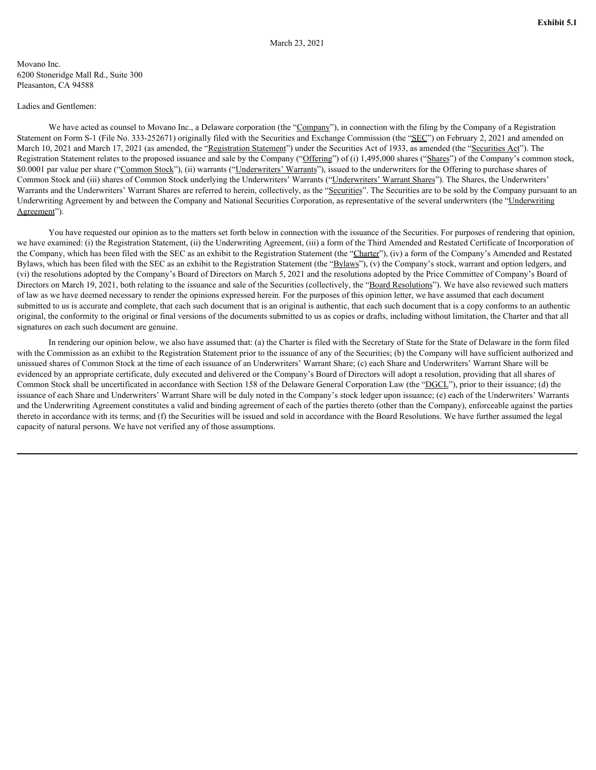### <span id="page-5-0"></span>Movano Inc. 6200 Stoneridge Mall Rd., Suite 300 Pleasanton, CA 94588

### Ladies and Gentlemen:

We have acted as counsel to Movano Inc., a Delaware corporation (the "Company"), in connection with the filing by the Company of a Registration Statement on Form S-1 (File No. 333-252671) originally filed with the Securities and Exchange Commission (the "SEC") on February 2, 2021 and amended on March 10, 2021 and March 17, 2021 (as amended, the "Registration Statement") under the Securities Act of 1933, as amended (the "Securities Act"). The Registration Statement relates to the proposed issuance and sale by the Company ("Offering") of (i) 1,495,000 shares ("Shares") of the Company's common stock, \$0.0001 par value per share ("Common Stock"), (ii) warrants ("Underwriters' Warrants"), issued to the underwriters for the Offering to purchase shares of Common Stock and (iii) shares of Common Stock underlying the Underwriters' Warrants ("Underwriters' Warrant Shares"). The Shares, the Underwriters' Warrants and the Underwriters' Warrant Shares are referred to herein, collectively, as the "Securities". The Securities are to be sold by the Company pursuant to an Underwriting Agreement by and between the Company and National Securities Corporation, as representative of the several underwriters (the "Underwriting Agreement").

You have requested our opinion as to the matters set forth below in connection with the issuance of the Securities. For purposes of rendering that opinion, we have examined: (i) the Registration Statement, (ii) the Underwriting Agreement, (iii) a form of the Third Amended and Restated Certificate of Incorporation of the Company, which has been filed with the SEC as an exhibit to the Registration Statement (the "Charter"), (iv) a form of the Company's Amended and Restated Bylaws, which has been filed with the SEC as an exhibit to the Registration Statement (the "Bylaws"), (v) the Company's stock, warrant and option ledgers, and (vi) the resolutions adopted by the Company's Board of Directors on March 5, 2021 and the resolutions adopted by the Price Committee of Company's Board of Directors on March 19, 2021, both relating to the issuance and sale of the Securities (collectively, the "Board Resolutions"). We have also reviewed such matters of law as we have deemed necessary to render the opinions expressed herein. For the purposes of this opinion letter, we have assumed that each document submitted to us is accurate and complete, that each such document that is an original is authentic, that each such document that is a copy conforms to an authentic original, the conformity to the original or final versions of the documents submitted to us as copies or drafts, including without limitation, the Charter and that all signatures on each such document are genuine.

In rendering our opinion below, we also have assumed that: (a) the Charter is filed with the Secretary of State for the State of Delaware in the form filed with the Commission as an exhibit to the Registration Statement prior to the issuance of any of the Securities; (b) the Company will have sufficient authorized and unissued shares of Common Stock at the time of each issuance of an Underwriters' Warrant Share; (c) each Share and Underwriters' Warrant Share will be evidenced by an appropriate certificate, duly executed and delivered or the Company's Board of Directors will adopt a resolution, providing that all shares of Common Stock shall be uncertificated in accordance with Section 158 of the Delaware General Corporation Law (the "DGCL"), prior to their issuance; (d) the issuance of each Share and Underwriters' Warrant Share will be duly noted in the Company's stock ledger upon issuance; (e) each of the Underwriters' Warrants and the Underwriting Agreement constitutes a valid and binding agreement of each of the parties thereto (other than the Company), enforceable against the parties thereto in accordance with its terms; and (f) the Securities will be issued and sold in accordance with the Board Resolutions. We have further assumed the legal capacity of natural persons. We have not verified any of those assumptions.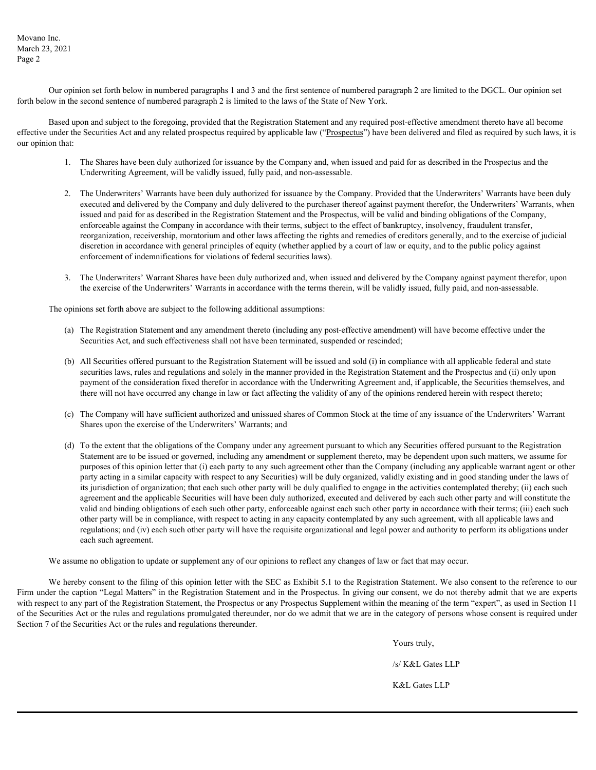Movano Inc. March 23, 2021 Page 2

Our opinion set forth below in numbered paragraphs 1 and 3 and the first sentence of numbered paragraph 2 are limited to the DGCL. Our opinion set forth below in the second sentence of numbered paragraph 2 is limited to the laws of the State of New York.

Based upon and subject to the foregoing, provided that the Registration Statement and any required post-effective amendment thereto have all become effective under the Securities Act and any related prospectus required by applicable law ("Prospectus") have been delivered and filed as required by such laws, it is our opinion that:

- 1. The Shares have been duly authorized for issuance by the Company and, when issued and paid for as described in the Prospectus and the Underwriting Agreement, will be validly issued, fully paid, and non-assessable.
- 2. The Underwriters' Warrants have been duly authorized for issuance by the Company. Provided that the Underwriters' Warrants have been duly executed and delivered by the Company and duly delivered to the purchaser thereof against payment therefor, the Underwriters' Warrants, when issued and paid for as described in the Registration Statement and the Prospectus, will be valid and binding obligations of the Company, enforceable against the Company in accordance with their terms, subject to the effect of bankruptcy, insolvency, fraudulent transfer, reorganization, receivership, moratorium and other laws affecting the rights and remedies of creditors generally, and to the exercise of judicial discretion in accordance with general principles of equity (whether applied by a court of law or equity, and to the public policy against enforcement of indemnifications for violations of federal securities laws).
- 3. The Underwriters' Warrant Shares have been duly authorized and, when issued and delivered by the Company against payment therefor, upon the exercise of the Underwriters' Warrants in accordance with the terms therein, will be validly issued, fully paid, and non-assessable.

The opinions set forth above are subject to the following additional assumptions:

- (a) The Registration Statement and any amendment thereto (including any post-effective amendment) will have become effective under the Securities Act, and such effectiveness shall not have been terminated, suspended or rescinded;
- (b) All Securities offered pursuant to the Registration Statement will be issued and sold (i) in compliance with all applicable federal and state securities laws, rules and regulations and solely in the manner provided in the Registration Statement and the Prospectus and (ii) only upon payment of the consideration fixed therefor in accordance with the Underwriting Agreement and, if applicable, the Securities themselves, and there will not have occurred any change in law or fact affecting the validity of any of the opinions rendered herein with respect thereto;
- (c) The Company will have sufficient authorized and unissued shares of Common Stock at the time of any issuance of the Underwriters' Warrant Shares upon the exercise of the Underwriters' Warrants; and
- (d) To the extent that the obligations of the Company under any agreement pursuant to which any Securities offered pursuant to the Registration Statement are to be issued or governed, including any amendment or supplement thereto, may be dependent upon such matters, we assume for purposes of this opinion letter that (i) each party to any such agreement other than the Company (including any applicable warrant agent or other party acting in a similar capacity with respect to any Securities) will be duly organized, validly existing and in good standing under the laws of its jurisdiction of organization; that each such other party will be duly qualified to engage in the activities contemplated thereby; (ii) each such agreement and the applicable Securities will have been duly authorized, executed and delivered by each such other party and will constitute the valid and binding obligations of each such other party, enforceable against each such other party in accordance with their terms; (iii) each such other party will be in compliance, with respect to acting in any capacity contemplated by any such agreement, with all applicable laws and regulations; and (iv) each such other party will have the requisite organizational and legal power and authority to perform its obligations under each such agreement.

We assume no obligation to update or supplement any of our opinions to reflect any changes of law or fact that may occur.

We hereby consent to the filing of this opinion letter with the SEC as Exhibit 5.1 to the Registration Statement. We also consent to the reference to our Firm under the caption "Legal Matters" in the Registration Statement and in the Prospectus. In giving our consent, we do not thereby admit that we are experts with respect to any part of the Registration Statement, the Prospectus or any Prospectus Supplement within the meaning of the term "expert", as used in Section 11 of the Securities Act or the rules and regulations promulgated thereunder, nor do we admit that we are in the category of persons whose consent is required under Section 7 of the Securities Act or the rules and regulations thereunder.

> Yours truly, /s/ K&L Gates LLP K&L Gates LLP